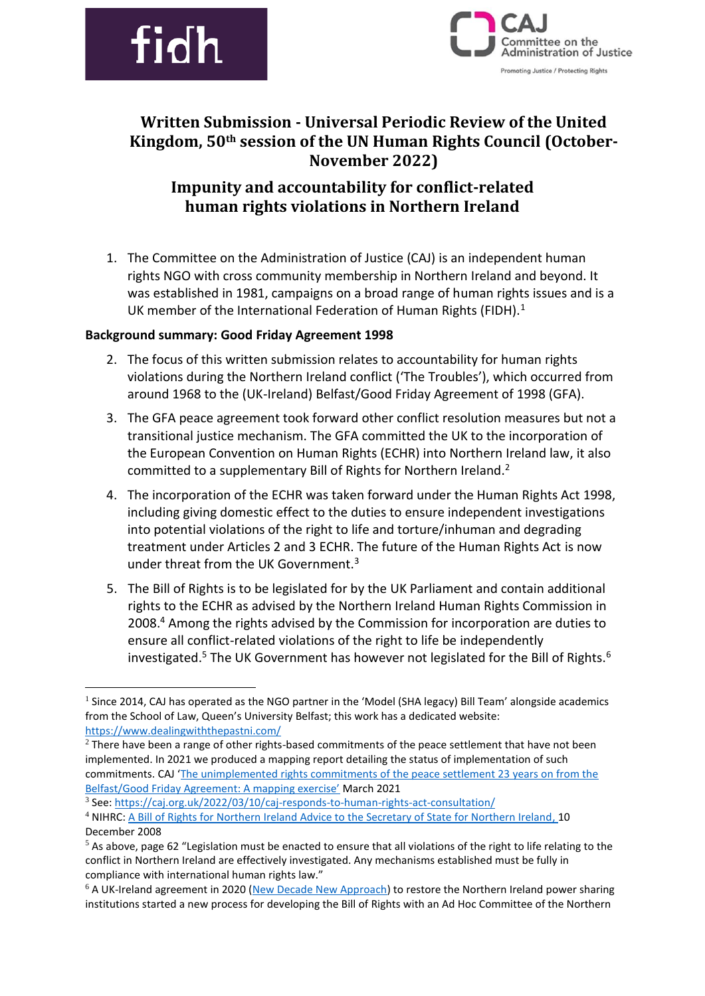



# **Written Submission - Universal Periodic Review of the United Kingdom, 50th session of the UN Human Rights Council (October-November 2022)**

# **Impunity and accountability for conflict-related human rights violations in Northern Ireland**

1. The Committee on the Administration of Justice (CAJ) is an independent human rights NGO with cross community membership in Northern Ireland and beyond. It was established in 1981, campaigns on a broad range of human rights issues and is a UK member of the International Federation of Human Rights (FIDH).<sup>1</sup>

### **Background summary: Good Friday Agreement 1998**

- 2. The focus of this written submission relates to accountability for human rights violations during the Northern Ireland conflict ('The Troubles'), which occurred from around 1968 to the (UK-Ireland) Belfast/Good Friday Agreement of 1998 (GFA).
- 3. The GFA peace agreement took forward other conflict resolution measures but not a transitional justice mechanism. The GFA committed the UK to the incorporation of the European Convention on Human Rights (ECHR) into Northern Ireland law, it also committed to a supplementary Bill of Rights for Northern Ireland.<sup>2</sup>
- 4. The incorporation of the ECHR was taken forward under the Human Rights Act 1998, including giving domestic effect to the duties to ensure independent investigations into potential violations of the right to life and torture/inhuman and degrading treatment under Articles 2 and 3 ECHR. The future of the Human Rights Act is now under threat from the UK Government.<sup>3</sup>
- 5. The Bill of Rights is to be legislated for by the UK Parliament and contain additional rights to the ECHR as advised by the Northern Ireland Human Rights Commission in 2008.<sup>4</sup> Among the rights advised by the Commission for incorporation are duties to ensure all conflict-related violations of the right to life be independently investigated.<sup>5</sup> The UK Government has however not legislated for the Bill of Rights.<sup>6</sup>

3 See:<https://caj.org.uk/2022/03/10/caj-responds-to-human-rights-act-consultation/> <sup>4</sup> NIHRC[: A Bill of Rights for Northern Ireland Advice to the Secretary of State for Northern Ireland,](https://nihrc.org/publication/detail/advice-to-the-secretary-of-state-for-northern-ireland) 10 December 2008

 $<sup>1</sup>$  Since 2014, CAJ has operated as the NGO partner in the 'Model (SHA legacy) Bill Team' alongside academics</sup> from the School of Law, Queen's University Belfast; this work has a dedicated website: <https://www.dealingwiththepastni.com/>

 $2$  There have been a range of other rights-based commitments of the peace settlement that have not been implemented. In 2021 we produced a mapping report detailing the status of implementation of such commitments. CAJ '[The unimplemented rights commitments of the peace settlement 23 years on from the](https://caj.org.uk/2021/04/09/a-mapping-exercise-mar-21/)  [Belfast/Good Friday Agreement: A mapping exercise'](https://caj.org.uk/2021/04/09/a-mapping-exercise-mar-21/) March 2021

 $5$  As above, page 62 "Legislation must be enacted to ensure that all violations of the right to life relating to the conflict in Northern Ireland are effectively investigated. Any mechanisms established must be fully in compliance with international human rights law."

<sup>&</sup>lt;sup>6</sup> A UK-Ireland agreement in 2020 [\(New Decade New Approach\)](https://www.gov.uk/government/news/deal-to-see-restored-government-in-northern-ireland-tomorrow) to restore the Northern Ireland power sharing institutions started a new process for developing the Bill of Rights with an Ad Hoc Committee of the Northern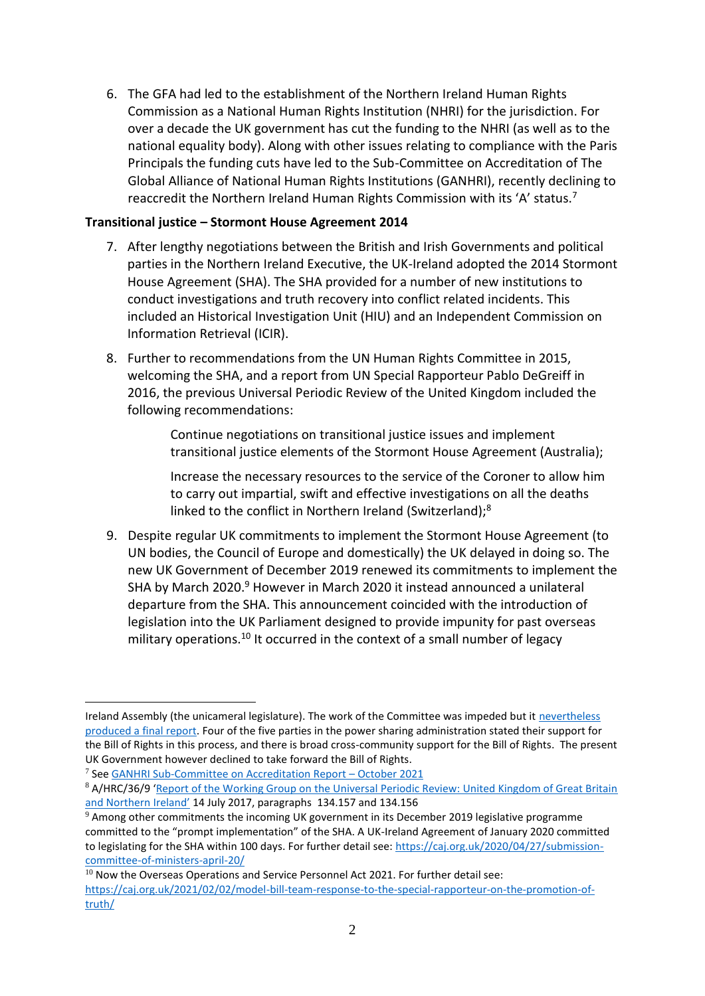6. The GFA had led to the establishment of the Northern Ireland Human Rights Commission as a National Human Rights Institution (NHRI) for the jurisdiction. For over a decade the UK government has cut the funding to the NHRI (as well as to the national equality body). Along with other issues relating to compliance with the Paris Principals the funding cuts have led to the Sub-Committee on Accreditation of The Global Alliance of National Human Rights Institutions (GANHRI), recently declining to reaccredit the Northern Ireland Human Rights Commission with its 'A' status.<sup>7</sup>

### **Transitional justice – Stormont House Agreement 2014**

- 7. After lengthy negotiations between the British and Irish Governments and political parties in the Northern Ireland Executive, the UK-Ireland adopted the 2014 Stormont House Agreement (SHA). The SHA provided for a number of new institutions to conduct investigations and truth recovery into conflict related incidents. This included an Historical Investigation Unit (HIU) and an Independent Commission on Information Retrieval (ICIR).
- 8. Further to recommendations from the UN Human Rights Committee in 2015, welcoming the SHA, and a report from UN Special Rapporteur Pablo DeGreiff in 2016, the previous Universal Periodic Review of the United Kingdom included the following recommendations:

Continue negotiations on transitional justice issues and implement transitional justice elements of the Stormont House Agreement (Australia);

Increase the necessary resources to the service of the Coroner to allow him to carry out impartial, swift and effective investigations on all the deaths linked to the conflict in Northern Ireland (Switzerland);<sup>8</sup>

9. Despite regular UK commitments to implement the Stormont House Agreement (to UN bodies, the Council of Europe and domestically) the UK delayed in doing so. The new UK Government of December 2019 renewed its commitments to implement the SHA by March 2020.<sup>9</sup> However in March 2020 it instead announced a unilateral departure from the SHA. This announcement coincided with the introduction of legislation into the UK Parliament designed to provide impunity for past overseas military operations.<sup>10</sup> It occurred in the context of a small number of legacy

Ireland Assembly (the unicameral legislature). The work of the Committee was impeded but it nevertheless [produced a final report.](http://www.niassembly.gov.uk/assembly-business/committees/2017-2022/ad-hoc-committee-on-a-bill-of-rights/reports/report-of-the-ad-hoc-committee-on-a-bill-of-rights/) Four of the five parties in the power sharing administration stated their support for the Bill of Rights in this process, and there is broad cross-community support for the Bill of Rights. The present UK Government however declined to take forward the Bill of Rights.

<sup>7</sup> See [GANHRI Sub-Committee on Accreditation Report](https://www.ohchr.org/EN/Countries/NHRI/Pages/SCA-Reports.aspx) – October 2021

<sup>8</sup> A/HRC/36/9 'Report of the Working Group on the Universal Periodic Review: United Kingdom of Great Britain [and Northern Ireland'](https://ap.ohchr.org/documents/dpage_e.aspx?si=A/HRC/36/9) 14 July 2017, paragraphs 134.157 and 134.156

 $9$  Among other commitments the incoming UK government in its December 2019 legislative programme committed to the "prompt implementation" of the SHA. A UK-Ireland Agreement of January 2020 committed to legislating for the SHA within 100 days. For further detail see: [https://caj.org.uk/2020/04/27/submission](https://caj.org.uk/2020/04/27/submission-committee-of-ministers-april-20/)[committee-of-ministers-april-20/](https://caj.org.uk/2020/04/27/submission-committee-of-ministers-april-20/)

 $10$  Now the Overseas Operations and Service Personnel Act 2021. For further detail see: [https://caj.org.uk/2021/02/02/model-bill-team-response-to-the-special-rapporteur-on-the-promotion-of](https://caj.org.uk/2021/02/02/model-bill-team-response-to-the-special-rapporteur-on-the-promotion-of-truth/)[truth/](https://caj.org.uk/2021/02/02/model-bill-team-response-to-the-special-rapporteur-on-the-promotion-of-truth/)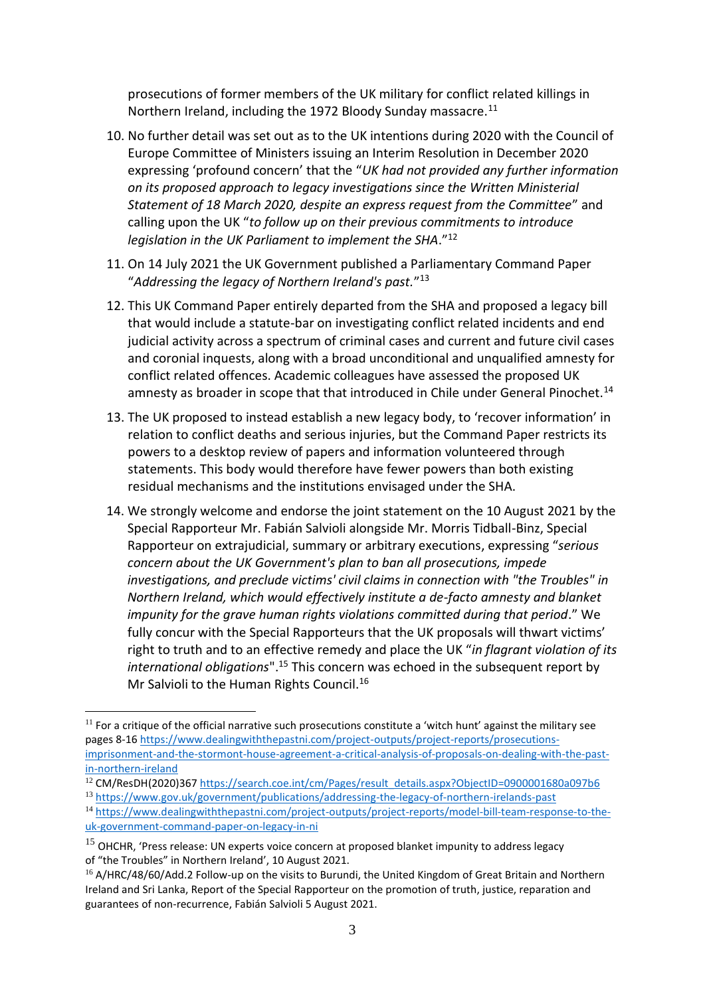prosecutions of former members of the UK military for conflict related killings in Northern Ireland, including the 1972 Bloody Sunday massacre.<sup>11</sup>

- 10. No further detail was set out as to the UK intentions during 2020 with the Council of Europe Committee of Ministers issuing an Interim Resolution in December 2020 expressing 'profound concern' that the "*UK had not provided any further information on its proposed approach to legacy investigations since the Written Ministerial Statement of 18 March 2020, despite an express request from the Committee*" and calling upon the UK "*to follow up on their previous commitments to introduce legislation in the UK Parliament to implement the SHA*."<sup>12</sup>
- 11. On 14 July 2021 the UK Government published a Parliamentary Command Paper "*Addressing the legacy of Northern Ireland's past.*" 13
- 12. This UK Command Paper entirely departed from the SHA and proposed a legacy bill that would include a statute-bar on investigating conflict related incidents and end judicial activity across a spectrum of criminal cases and current and future civil cases and coronial inquests, along with a broad unconditional and unqualified amnesty for conflict related offences. Academic colleagues have assessed the proposed UK amnesty as broader in scope that that introduced in Chile under General Pinochet.<sup>14</sup>
- 13. The UK proposed to instead establish a new legacy body, to 'recover information' in relation to conflict deaths and serious injuries, but the Command Paper restricts its powers to a desktop review of papers and information volunteered through statements. This body would therefore have fewer powers than both existing residual mechanisms and the institutions envisaged under the SHA.
- 14. We strongly welcome and endorse the joint statement on the 10 August 2021 by the Special Rapporteur Mr. Fabián Salvioli alongside Mr. Morris Tidball-Binz, [Special](https://www.ohchr.org/en/issues/executions/pages/srexecutionsindex.aspx)  [Rapporteur on extrajudicial, summary or arbitrary executions](https://www.ohchr.org/en/issues/executions/pages/srexecutionsindex.aspx), expressing "*serious concern about the UK Government's plan to ban all prosecutions, impede investigations, and preclude victims' civil claims in connection with "the Troubles" in Northern Ireland, which would effectively institute a de-facto amnesty and blanket impunity for the grave human rights violations committed during that period*." We fully concur with the Special Rapporteurs that the UK proposals will thwart victims' right to truth and to an effective remedy and place the UK "*in flagrant violation of its international obligations*".<sup>15</sup> This concern was echoed in the subsequent report by Mr Salvioli to the Human Rights Council.<sup>16</sup>

 $11$  For a critique of the official narrative such prosecutions constitute a 'witch hunt' against the military see pages 8-1[6 https://www.dealingwiththepastni.com/project-outputs/project-reports/prosecutions](https://www.dealingwiththepastni.com/project-outputs/project-reports/prosecutions-imprisonment-and-the-stormont-house-agreement-a-critical-analysis-of-proposals-on-dealing-with-the-past-in-northern-ireland)[imprisonment-and-the-stormont-house-agreement-a-critical-analysis-of-proposals-on-dealing-with-the-past](https://www.dealingwiththepastni.com/project-outputs/project-reports/prosecutions-imprisonment-and-the-stormont-house-agreement-a-critical-analysis-of-proposals-on-dealing-with-the-past-in-northern-ireland)[in-northern-ireland](https://www.dealingwiththepastni.com/project-outputs/project-reports/prosecutions-imprisonment-and-the-stormont-house-agreement-a-critical-analysis-of-proposals-on-dealing-with-the-past-in-northern-ireland)

<sup>&</sup>lt;sup>12</sup> CM/ResDH(2020)367 [https://search.coe.int/cm/Pages/result\\_details.aspx?ObjectID=0900001680a097b6](https://search.coe.int/cm/Pages/result_details.aspx?ObjectID=0900001680a097b6)

<sup>13</sup> <https://www.gov.uk/government/publications/addressing-the-legacy-of-northern-irelands-past>

<sup>14</sup> [https://www.dealingwiththepastni.com/project-outputs/project-reports/model-bill-team-response-to-the](https://www.dealingwiththepastni.com/project-outputs/project-reports/model-bill-team-response-to-the-uk-government-command-paper-on-legacy-in-ni)[uk-government-command-paper-on-legacy-in-ni](https://www.dealingwiththepastni.com/project-outputs/project-reports/model-bill-team-response-to-the-uk-government-command-paper-on-legacy-in-ni)

 $15$  OHCHR, 'Press release: UN experts voice concern at proposed blanket impunity to address legacy of "the Troubles" in Northern Ireland', 10 August 2021.

<sup>&</sup>lt;sup>16</sup> A/HRC/48/60/Add.2 Follow-up on the visits to Burundi, the United Kingdom of Great Britain and Northern Ireland and Sri Lanka, Report of the Special Rapporteur on the promotion of truth, justice, reparation and guarantees of non-recurrence, Fabián Salvioli 5 August 2021.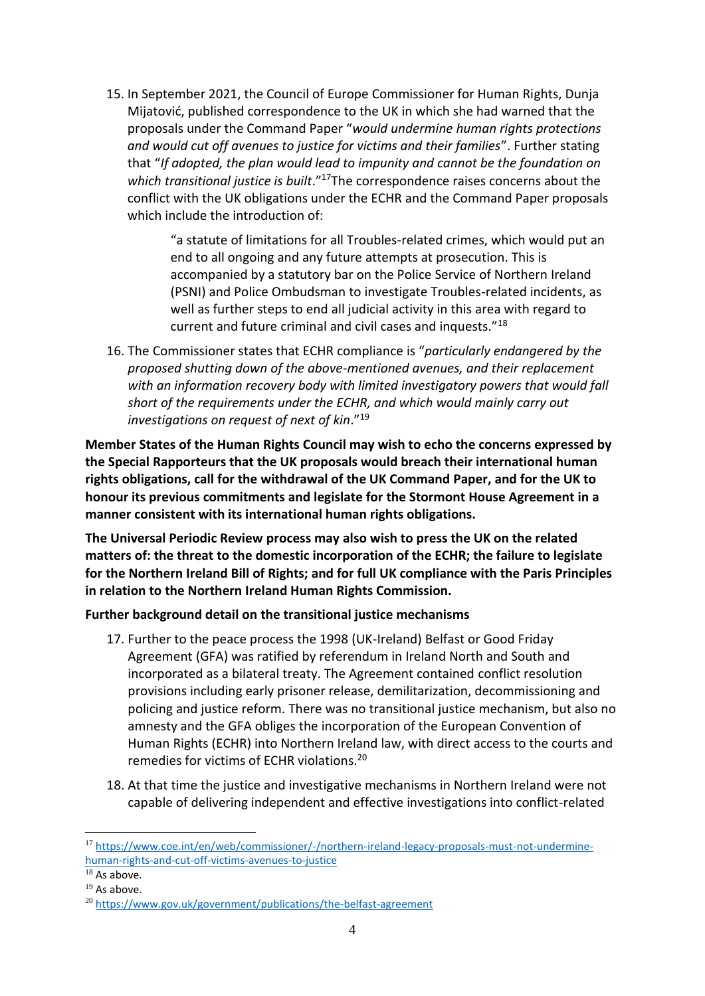15. In September 2021, the Council of Europe Commissioner for Human Rights, Dunja Mijatović, published correspondence to the UK in which she had warned that the proposals under the Command Paper "*would undermine human rights protections and would cut off avenues to justice for victims and their families*". Further stating that "*If adopted, the plan would lead to impunity and cannot be the foundation on which transitional justice is built*."<sup>17</sup>The correspondence raises concerns about the conflict with the UK obligations under the ECHR and the Command Paper proposals which include the introduction of:

> "a statute of limitations for all Troubles-related crimes, which would put an end to all ongoing and any future attempts at prosecution. This is accompanied by a statutory bar on the Police Service of Northern Ireland (PSNI) and Police Ombudsman to investigate Troubles-related incidents, as well as further steps to end all judicial activity in this area with regard to current and future criminal and civil cases and inquests."<sup>18</sup>

16. The Commissioner states that ECHR compliance is "*particularly endangered by the proposed shutting down of the above-mentioned avenues, and their replacement with an information recovery body with limited investigatory powers that would fall short of the requirements under the ECHR, and which would mainly carry out investigations on request of next of kin*."<sup>19</sup>

**Member States of the Human Rights Council may wish to echo the concerns expressed by the Special Rapporteurs that the UK proposals would breach their international human rights obligations, call for the withdrawal of the UK Command Paper, and for the UK to honour its previous commitments and legislate for the Stormont House Agreement in a manner consistent with its international human rights obligations.** 

**The Universal Periodic Review process may also wish to press the UK on the related matters of: the threat to the domestic incorporation of the ECHR; the failure to legislate for the Northern Ireland Bill of Rights; and for full UK compliance with the Paris Principles in relation to the Northern Ireland Human Rights Commission.** 

**Further background detail on the transitional justice mechanisms** 

- 17. Further to the peace process the 1998 (UK-Ireland) Belfast or Good Friday Agreement (GFA) was ratified by referendum in Ireland North and South and incorporated as a bilateral treaty. The Agreement contained conflict resolution provisions including early prisoner release, demilitarization, decommissioning and policing and justice reform. There was no transitional justice mechanism, but also no amnesty and the GFA obliges the incorporation of the European Convention of Human Rights (ECHR) into Northern Ireland law, with direct access to the courts and remedies for victims of ECHR violations.<sup>20</sup>
- 18. At that time the justice and investigative mechanisms in Northern Ireland were not capable of delivering independent and effective investigations into conflict-related

<sup>17</sup> [https://www.coe.int/en/web/commissioner/-/northern-ireland-legacy-proposals-must-not-undermine](https://www.coe.int/en/web/commissioner/-/northern-ireland-legacy-proposals-must-not-undermine-human-rights-and-cut-off-victims-avenues-to-justice)[human-rights-and-cut-off-victims-avenues-to-justice](https://www.coe.int/en/web/commissioner/-/northern-ireland-legacy-proposals-must-not-undermine-human-rights-and-cut-off-victims-avenues-to-justice)

 $18$  As above.

<sup>&</sup>lt;sup>19</sup> As above.

<sup>20</sup> <https://www.gov.uk/government/publications/the-belfast-agreement>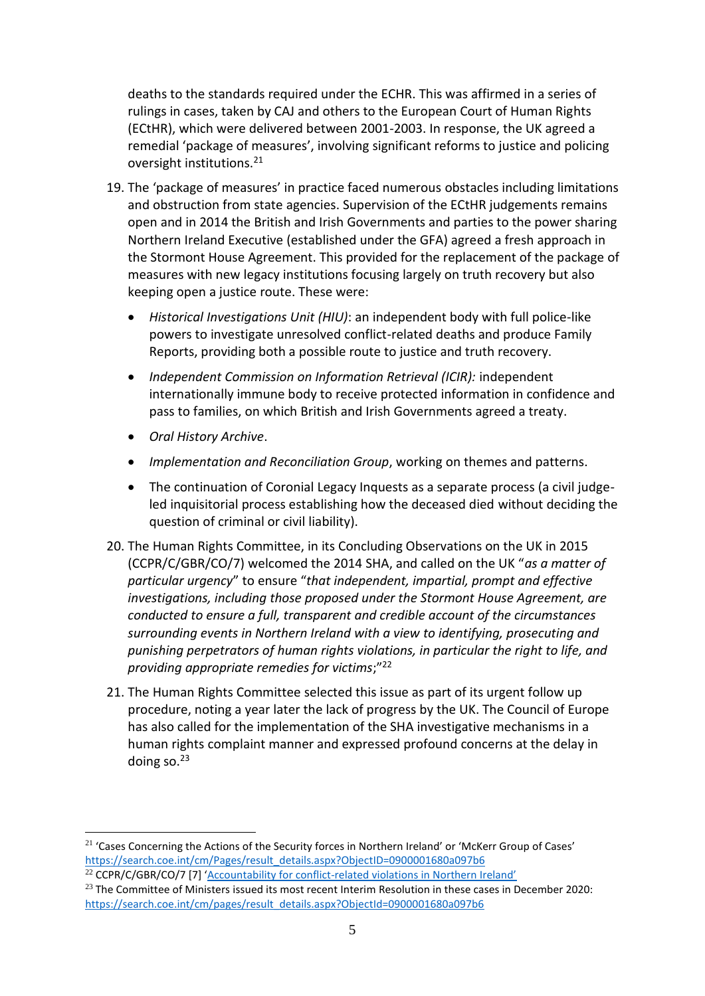deaths to the standards required under the ECHR. This was affirmed in a series of rulings in cases, taken by CAJ and others to the European Court of Human Rights (ECtHR), which were delivered between 2001-2003. In response, the UK agreed a remedial 'package of measures', involving significant reforms to justice and policing oversight institutions.<sup>21</sup>

- 19. The 'package of measures' in practice faced numerous obstacles including limitations and obstruction from state agencies. Supervision of the ECtHR judgements remains open and in 2014 the British and Irish Governments and parties to the power sharing Northern Ireland Executive (established under the GFA) agreed a fresh approach in the Stormont House Agreement. This provided for the replacement of the package of measures with new legacy institutions focusing largely on truth recovery but also keeping open a justice route. These were:
	- *Historical Investigations Unit (HIU)*: an independent body with full police-like powers to investigate unresolved conflict-related deaths and produce Family Reports, providing both a possible route to justice and truth recovery.
	- *Independent Commission on Information Retrieval (ICIR):* independent internationally immune body to receive protected information in confidence and pass to families, on which British and Irish Governments agreed a treaty.
	- *Oral History Archive*.
	- *Implementation and Reconciliation Group*, working on themes and patterns.
	- The continuation of Coronial Legacy Inquests as a separate process (a civil judgeled inquisitorial process establishing how the deceased died without deciding the question of criminal or civil liability).
- 20. The Human Rights Committee, in its Concluding Observations on the UK in 2015 (CCPR/C/GBR/CO/7) welcomed the 2014 SHA, and called on the UK "*as a matter of particular urgency*" to ensure "*that independent, impartial, prompt and effective investigations, including those proposed under the Stormont House Agreement, are conducted to ensure a full, transparent and credible account of the circumstances surrounding events in Northern Ireland with a view to identifying, prosecuting and punishing perpetrators of human rights violations, in particular the right to life, and providing appropriate remedies for victims*;"<sup>22</sup>
- 21. The Human Rights Committee selected this issue as part of its urgent follow up procedure, noting a year later the lack of progress by the UK. The Council of Europe has also called for the implementation of the SHA investigative mechanisms in a human rights complaint manner and expressed profound concerns at the delay in doing so. $23$

 $21$  'Cases Concerning the Actions of the Security forces in Northern Ireland' or 'McKerr Group of Cases' [https://search.coe.int/cm/Pages/result\\_details.aspx?ObjectID=0900001680a097b6](https://search.coe.int/cm/Pages/result_details.aspx?ObjectID=0900001680a097b6)

<sup>&</sup>lt;sup>22</sup> CCPR/C/GBR/CO/7 [7] 'Accountability for conflict-[related violations in Northern Ireland'](http://docstore.ohchr.org/SelfServices/FilesHandler.ashx?enc=6QkG1d%2FPPRiCAqhKb7yhsg%2FOK3H8qae8NhIDi53MecJ8Es8JxwwaL1HQ8hgVMkgor%2Ba2BnDTW%2FHC6BIyM8TPJNF%2F6qe%2Bcdb0NBnXp%2BA57rBA17cvjmBwuivD2gq5FYEj)

 $23$  The Committee of Ministers issued its most recent Interim Resolution in these cases in December 2020: [https://search.coe.int/cm/pages/result\\_details.aspx?ObjectId=0900001680a097b6](https://search.coe.int/cm/pages/result_details.aspx?ObjectId=0900001680a097b6)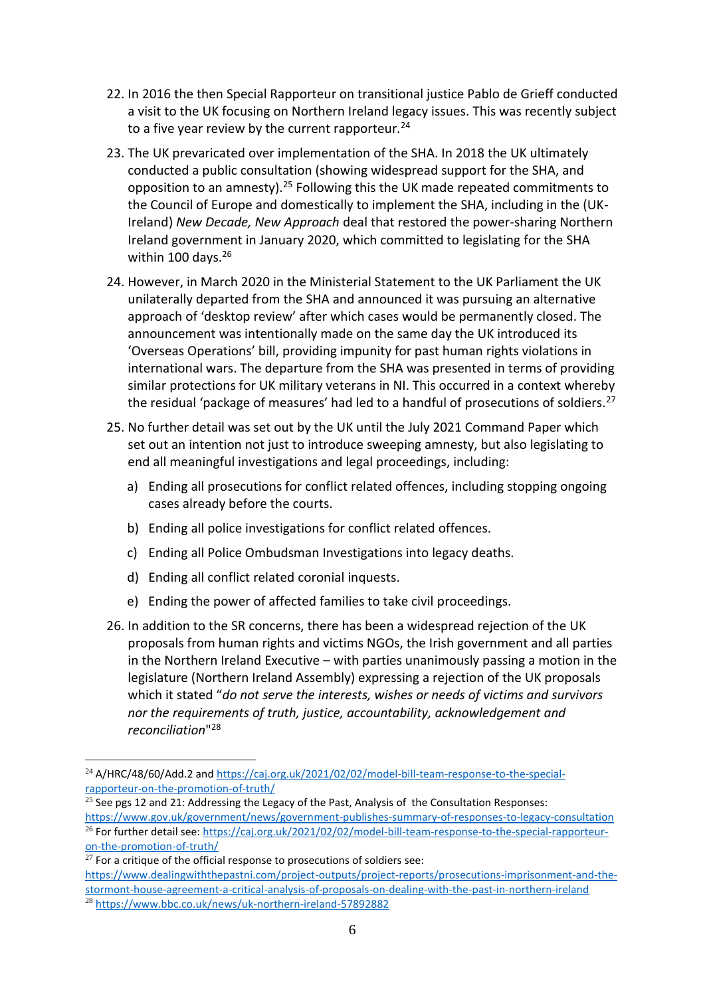- 22. In 2016 the then Special Rapporteur on transitional justice Pablo de Grieff conducted a visit to the UK focusing on Northern Ireland legacy issues. This was recently subject to a five year review by the current rapporteur*.* 24
- 23. The UK prevaricated over implementation of the SHA. In 2018 the UK ultimately conducted a public consultation (showing widespread support for the SHA, and opposition to an amnesty).<sup>25</sup> Following this the UK made repeated commitments to the Council of Europe and domestically to implement the SHA, including in the (UK-Ireland) *New Decade, New Approach* deal that restored the power-sharing Northern Ireland government in January 2020, which committed to legislating for the SHA within 100 days.<sup>26</sup>
- 24. However, in March 2020 in the Ministerial Statement to the UK Parliament the UK unilaterally departed from the SHA and announced it was pursuing an alternative approach of 'desktop review' after which cases would be permanently closed. The announcement was intentionally made on the same day the UK introduced its 'Overseas Operations' bill, providing impunity for past human rights violations in international wars. The departure from the SHA was presented in terms of providing similar protections for UK military veterans in NI. This occurred in a context whereby the residual 'package of measures' had led to a handful of prosecutions of soldiers.<sup>27</sup>
- 25. No further detail was set out by the UK until the July 2021 Command Paper which set out an intention not just to introduce sweeping amnesty, but also legislating to end all meaningful investigations and legal proceedings, including:
	- a) Ending all prosecutions for conflict related offences, including stopping ongoing cases already before the courts.
	- b) Ending all police investigations for conflict related offences.
	- c) Ending all Police Ombudsman Investigations into legacy deaths.
	- d) Ending all conflict related coronial inquests.
	- e) Ending the power of affected families to take civil proceedings.
- 26. In addition to the SR concerns, there has been a widespread rejection of the UK proposals from human rights and victims NGOs, the Irish government and all parties in the Northern Ireland Executive – with parties unanimously passing a motion in the legislature (Northern Ireland Assembly) expressing a rejection of the UK proposals which it stated "*do not serve the interests, wishes or needs of victims and survivors nor the requirements of truth, justice, accountability, acknowledgement and reconciliation*" 28

<sup>&</sup>lt;sup>24</sup> A/HRC/48/60/Add.2 and [https://caj.org.uk/2021/02/02/model-bill-team-response-to-the-special](https://caj.org.uk/2021/02/02/model-bill-team-response-to-the-special-rapporteur-on-the-promotion-of-truth/)[rapporteur-on-the-promotion-of-truth/](https://caj.org.uk/2021/02/02/model-bill-team-response-to-the-special-rapporteur-on-the-promotion-of-truth/)

 $\frac{25}{25}$  See pgs 12 and 21: Addressing the Legacy of the Past, Analysis of the Consultation Responses: <https://www.gov.uk/government/news/government-publishes-summary-of-responses-to-legacy-consultation> <sup>26</sup> For further detail see[: https://caj.org.uk/2021/02/02/model-bill-team-response-to-the-special-rapporteur](https://caj.org.uk/2021/02/02/model-bill-team-response-to-the-special-rapporteur-on-the-promotion-of-truth/)[on-the-promotion-of-truth/](https://caj.org.uk/2021/02/02/model-bill-team-response-to-the-special-rapporteur-on-the-promotion-of-truth/)

 $27$  For a critique of the official response to prosecutions of soldiers see: [https://www.dealingwiththepastni.com/project-outputs/project-reports/prosecutions-imprisonment-and-the](https://www.dealingwiththepastni.com/project-outputs/project-reports/prosecutions-imprisonment-and-the-stormont-house-agreement-a-critical-analysis-of-proposals-on-dealing-with-the-past-in-northern-ireland)[stormont-house-agreement-a-critical-analysis-of-proposals-on-dealing-with-the-past-in-northern-ireland](https://www.dealingwiththepastni.com/project-outputs/project-reports/prosecutions-imprisonment-and-the-stormont-house-agreement-a-critical-analysis-of-proposals-on-dealing-with-the-past-in-northern-ireland) <sup>28</sup> <https://www.bbc.co.uk/news/uk-northern-ireland-57892882>